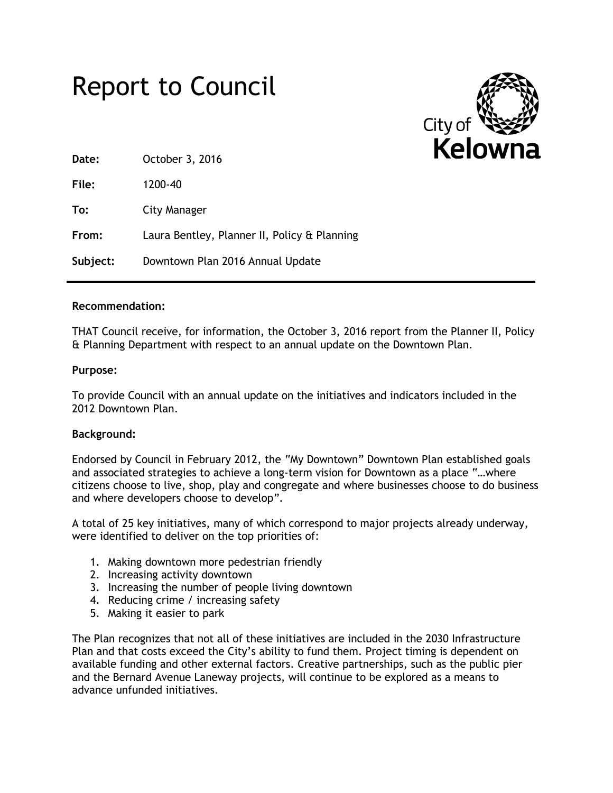# Report to Council



| Date:    | October 3, 2016                              |
|----------|----------------------------------------------|
| File:    | 1200-40                                      |
| To:      | City Manager                                 |
| From:    | Laura Bentley, Planner II, Policy & Planning |
| Subject: | Downtown Plan 2016 Annual Update             |

## **Recommendation:**

THAT Council receive, for information, the October 3, 2016 report from the Planner II, Policy & Planning Department with respect to an annual update on the Downtown Plan.

## **Purpose:**

To provide Council with an annual update on the initiatives and indicators included in the 2012 Downtown Plan.

# **Background:**

Endorsed by Council in February 2012, the "My Downtown" Downtown Plan established goals and associated strategies to achieve a long-term vision for Downtown as a place "…where citizens choose to live, shop, play and congregate and where businesses choose to do business and where developers choose to develop".

A total of 25 key initiatives, many of which correspond to major projects already underway, were identified to deliver on the top priorities of:

- 1. Making downtown more pedestrian friendly
- 2. Increasing activity downtown
- 3. Increasing the number of people living downtown
- 4. Reducing crime / increasing safety
- 5. Making it easier to park

The Plan recognizes that not all of these initiatives are included in the 2030 Infrastructure Plan and that costs exceed the City's ability to fund them. Project timing is dependent on available funding and other external factors. Creative partnerships, such as the public pier and the Bernard Avenue Laneway projects, will continue to be explored as a means to advance unfunded initiatives.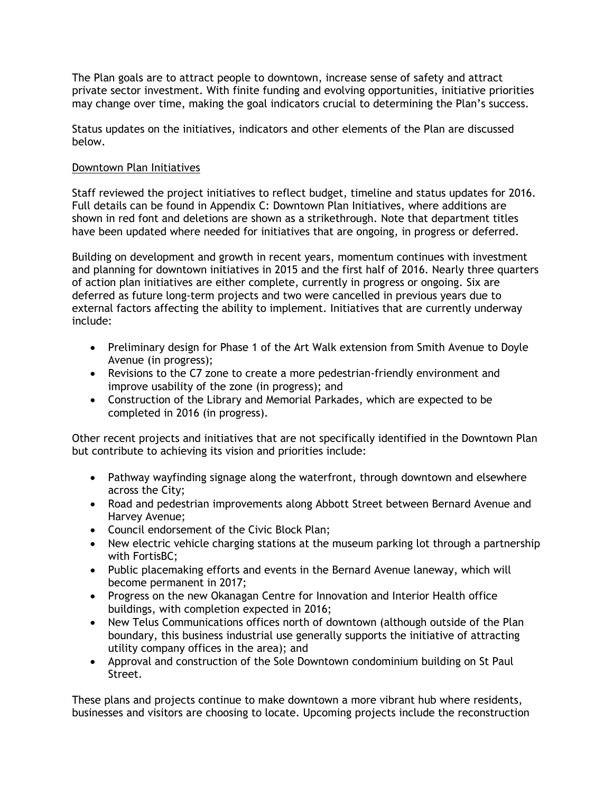The Plan goals are to attract people to downtown, increase sense of safety and attract private sector investment. With finite funding and evolving opportunities, initiative priorities may change over time, making the goal indicators crucial to determining the Plan's success.

Status updates on the initiatives, indicators and other elements of the Plan are discussed below.

# Downtown Plan Initiatives

Staff reviewed the project initiatives to reflect budget, timeline and status updates for 2016. Full details can be found in Appendix C: Downtown Plan Initiatives, where additions are shown in red font and deletions are shown as a strikethrough. Note that department titles have been updated where needed for initiatives that are ongoing, in progress or deferred.

Building on development and growth in recent years, momentum continues with investment and planning for downtown initiatives in 2015 and the first half of 2016. Nearly three quarters of action plan initiatives are either complete, currently in progress or ongoing. Six are deferred as future long-term projects and two were cancelled in previous years due to external factors affecting the ability to implement. Initiatives that are currently underway include:

- Preliminary design for Phase 1 of the Art Walk extension from Smith Avenue to Doyle Avenue (in progress);
- Revisions to the C7 zone to create a more pedestrian-friendly environment and improve usability of the zone (in progress); and
- Construction of the Library and Memorial Parkades, which are expected to be completed in 2016 (in progress).

Other recent projects and initiatives that are not specifically identified in the Downtown Plan but contribute to achieving its vision and priorities include:

- Pathway wayfinding signage along the waterfront, through downtown and elsewhere across the City;
- Road and pedestrian improvements along Abbott Street between Bernard Avenue and Harvey Avenue;
- Council endorsement of the Civic Block Plan;
- New electric vehicle charging stations at the museum parking lot through a partnership with FortisBC;
- Public placemaking efforts and events in the Bernard Avenue laneway, which will become permanent in 2017;
- Progress on the new Okanagan Centre for Innovation and Interior Health office buildings, with completion expected in 2016;
- New Telus Communications offices north of downtown (although outside of the Plan boundary, this business industrial use generally supports the initiative of attracting utility company offices in the area); and
- Approval and construction of the Sole Downtown condominium building on St Paul Street.

These plans and projects continue to make downtown a more vibrant hub where residents, businesses and visitors are choosing to locate. Upcoming projects include the reconstruction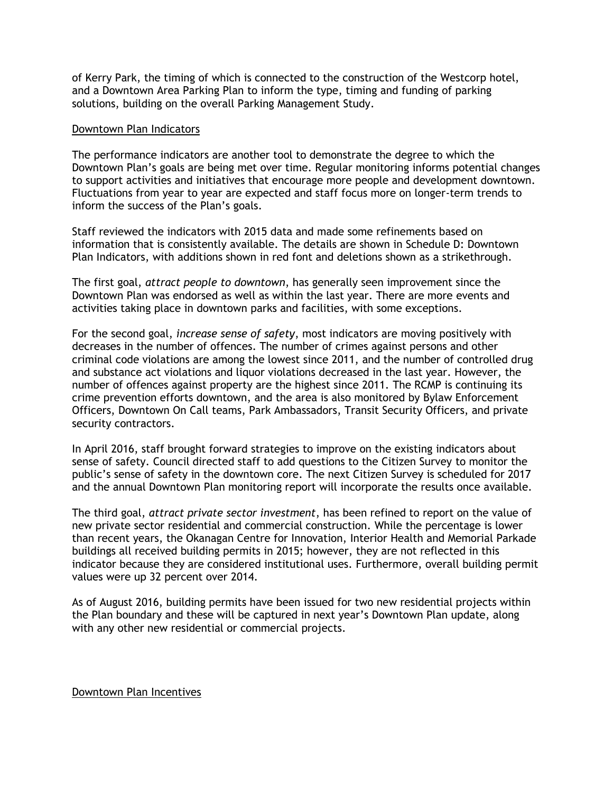of Kerry Park, the timing of which is connected to the construction of the Westcorp hotel, and a Downtown Area Parking Plan to inform the type, timing and funding of parking solutions, building on the overall Parking Management Study.

### Downtown Plan Indicators

The performance indicators are another tool to demonstrate the degree to which the Downtown Plan's goals are being met over time. Regular monitoring informs potential changes to support activities and initiatives that encourage more people and development downtown. Fluctuations from year to year are expected and staff focus more on longer-term trends to inform the success of the Plan's goals.

Staff reviewed the indicators with 2015 data and made some refinements based on information that is consistently available. The details are shown in Schedule D: Downtown Plan Indicators, with additions shown in red font and deletions shown as a strikethrough.

The first goal, *attract people to downtown*, has generally seen improvement since the Downtown Plan was endorsed as well as within the last year. There are more events and activities taking place in downtown parks and facilities, with some exceptions.

For the second goal, *increase sense of safety*, most indicators are moving positively with decreases in the number of offences. The number of crimes against persons and other criminal code violations are among the lowest since 2011, and the number of controlled drug and substance act violations and liquor violations decreased in the last year. However, the number of offences against property are the highest since 2011. The RCMP is continuing its crime prevention efforts downtown, and the area is also monitored by Bylaw Enforcement Officers, Downtown On Call teams, Park Ambassadors, Transit Security Officers, and private security contractors.

In April 2016, staff brought forward strategies to improve on the existing indicators about sense of safety. Council directed staff to add questions to the Citizen Survey to monitor the public's sense of safety in the downtown core. The next Citizen Survey is scheduled for 2017 and the annual Downtown Plan monitoring report will incorporate the results once available.

The third goal, *attract private sector investment*, has been refined to report on the value of new private sector residential and commercial construction. While the percentage is lower than recent years, the Okanagan Centre for Innovation, Interior Health and Memorial Parkade buildings all received building permits in 2015; however, they are not reflected in this indicator because they are considered institutional uses. Furthermore, overall building permit values were up 32 percent over 2014.

As of August 2016, building permits have been issued for two new residential projects within the Plan boundary and these will be captured in next year's Downtown Plan update, along with any other new residential or commercial projects.

Downtown Plan Incentives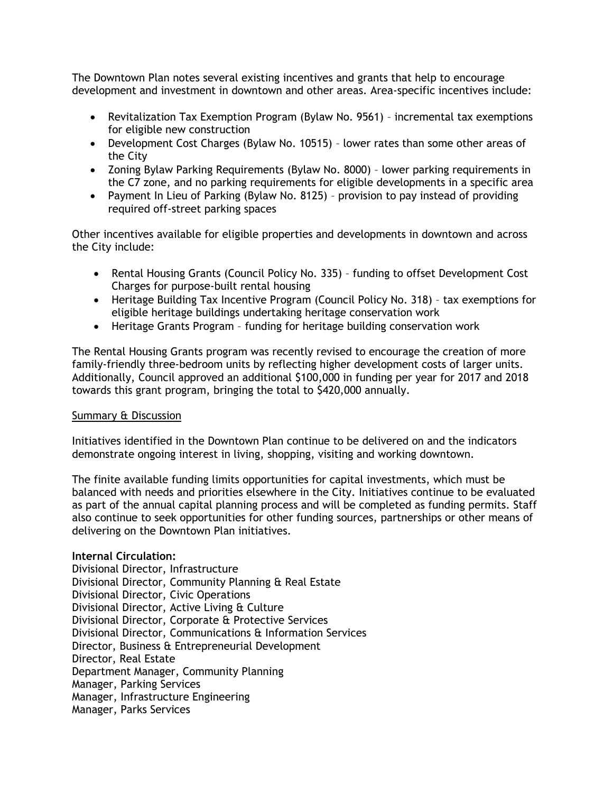The Downtown Plan notes several existing incentives and grants that help to encourage development and investment in downtown and other areas. Area-specific incentives include:

- Revitalization Tax Exemption Program (Bylaw No. 9561) incremental tax exemptions for eligible new construction
- Development Cost Charges (Bylaw No. 10515) lower rates than some other areas of the City
- Zoning Bylaw Parking Requirements (Bylaw No. 8000) lower parking requirements in the C7 zone, and no parking requirements for eligible developments in a specific area
- Payment In Lieu of Parking (Bylaw No. 8125) provision to pay instead of providing required off-street parking spaces

Other incentives available for eligible properties and developments in downtown and across the City include:

- Rental Housing Grants (Council Policy No. 335) funding to offset Development Cost Charges for purpose-built rental housing
- Heritage Building Tax Incentive Program (Council Policy No. 318) tax exemptions for eligible heritage buildings undertaking heritage conservation work
- Heritage Grants Program funding for heritage building conservation work

The Rental Housing Grants program was recently revised to encourage the creation of more family-friendly three-bedroom units by reflecting higher development costs of larger units. Additionally, Council approved an additional \$100,000 in funding per year for 2017 and 2018 towards this grant program, bringing the total to \$420,000 annually.

# Summary & Discussion

Initiatives identified in the Downtown Plan continue to be delivered on and the indicators demonstrate ongoing interest in living, shopping, visiting and working downtown.

The finite available funding limits opportunities for capital investments, which must be balanced with needs and priorities elsewhere in the City. Initiatives continue to be evaluated as part of the annual capital planning process and will be completed as funding permits. Staff also continue to seek opportunities for other funding sources, partnerships or other means of delivering on the Downtown Plan initiatives.

**Internal Circulation:** Divisional Director, Infrastructure Divisional Director, Community Planning & Real Estate Divisional Director, Civic Operations Divisional Director, Active Living & Culture Divisional Director, Corporate & Protective Services Divisional Director, Communications & Information Services Director, Business & Entrepreneurial Development Director, Real Estate Department Manager, Community Planning Manager, Parking Services Manager, Infrastructure Engineering Manager, Parks Services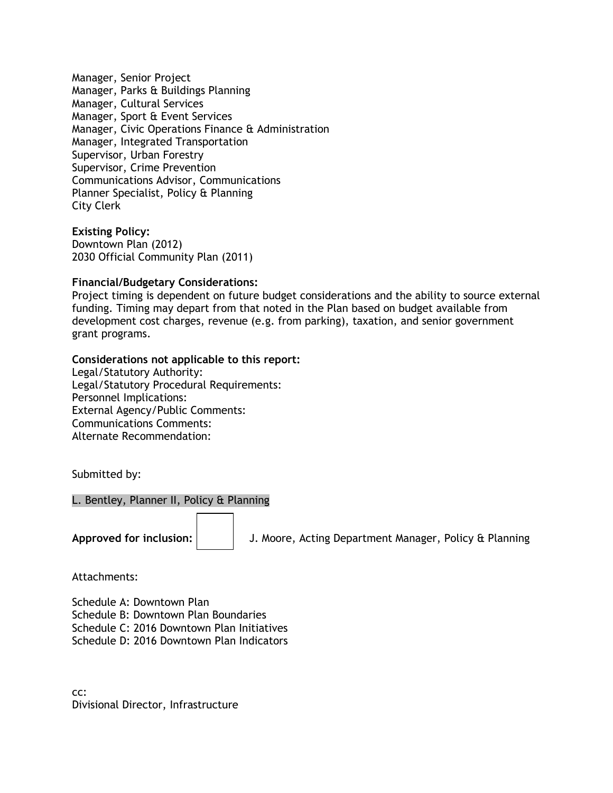Manager, Senior Project Manager, Parks & Buildings Planning Manager, Cultural Services Manager, Sport & Event Services Manager, Civic Operations Finance & Administration Manager, Integrated Transportation Supervisor, Urban Forestry Supervisor, Crime Prevention Communications Advisor, Communications Planner Specialist, Policy & Planning City Clerk

**Existing Policy:** Downtown Plan (2012) 2030 Official Community Plan (2011)

#### **Financial/Budgetary Considerations:**

Project timing is dependent on future budget considerations and the ability to source external funding. Timing may depart from that noted in the Plan based on budget available from development cost charges, revenue (e.g. from parking), taxation, and senior government grant programs.

#### **Considerations not applicable to this report:**

Legal/Statutory Authority: Legal/Statutory Procedural Requirements: Personnel Implications: External Agency/Public Comments: Communications Comments: Alternate Recommendation:

Submitted by:

#### L. Bentley, Planner II, Policy & Planning

**Approved for inclusion:** J. Moore, Acting Department Manager, Policy & Planning

Attachments:

Schedule A: Downtown Plan Schedule B: Downtown Plan Boundaries Schedule C: 2016 Downtown Plan Initiatives Schedule D: 2016 Downtown Plan Indicators

cc: Divisional Director, Infrastructure